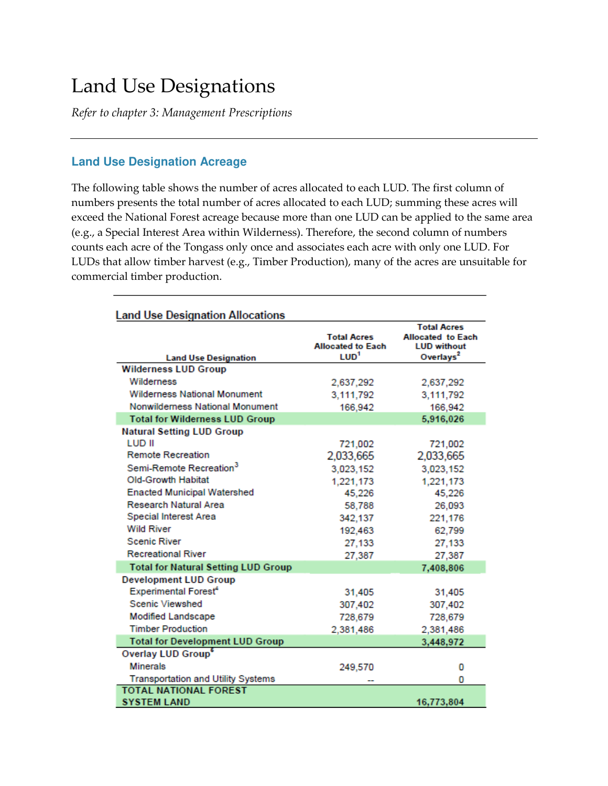# Land Use Designations

*Refer to chapter 3: Management Prescriptions* 

## **Land Use Designation Acreage**

The following table shows the number of acres allocated to each LUD. The first column of numbers presents the total number of acres allocated to each LUD; summing these acres will exceed the National Forest acreage because more than one LUD can be applied to the same area (e.g., a Special Interest Area within Wilderness). Therefore, the second column of numbers counts each acre of the Tongass only once and associates each acre with only one LUD. For LUDs that allow timber harvest (e.g., Timber Production), many of the acres are unsuitable for commercial timber production.

| <b>Land Use Designation Allocations</b>    |                                                                    |                                                                                               |
|--------------------------------------------|--------------------------------------------------------------------|-----------------------------------------------------------------------------------------------|
| <b>Land Use Designation</b>                | <b>Total Acres</b><br><b>Allocated to Each</b><br>LUD <sup>1</sup> | <b>Total Acres</b><br><b>Allocated to Each</b><br><b>LUD</b> without<br>Overlays <sup>2</sup> |
| <b>Wilderness LUD Group</b>                |                                                                    |                                                                                               |
| Wilderness                                 | 2,637,292                                                          | 2,637,292                                                                                     |
| <b>Wilderness National Monument</b>        | 3,111,792                                                          | 3,111,792                                                                                     |
| Nonwilderness National Monument            | 166,942                                                            | 166,942                                                                                       |
| <b>Total for Wilderness LUD Group</b>      |                                                                    | 5,916,026                                                                                     |
| <b>Natural Setting LUD Group</b>           |                                                                    |                                                                                               |
| <b>LUD II</b>                              | 721,002                                                            | 721,002                                                                                       |
| <b>Remote Recreation</b>                   | 2,033,665                                                          | 2,033,665                                                                                     |
| Semi-Remote Recreation <sup>3</sup>        | 3,023,152                                                          | 3,023,152                                                                                     |
| <b>Old-Growth Habitat</b>                  | 1,221,173                                                          | 1,221,173                                                                                     |
| <b>Enacted Municipal Watershed</b>         | 45,226                                                             | 45,226                                                                                        |
| <b>Research Natural Area</b>               | 58,788                                                             | 26,093                                                                                        |
| <b>Special Interest Area</b>               | 342,137                                                            | 221,176                                                                                       |
| <b>Wild River</b>                          | 192,463                                                            | 62,799                                                                                        |
| <b>Scenic River</b>                        | 27,133                                                             | 27,133                                                                                        |
| <b>Recreational River</b>                  | 27,387                                                             | 27,387                                                                                        |
| <b>Total for Natural Setting LUD Group</b> |                                                                    | 7,408,806                                                                                     |
| <b>Development LUD Group</b>               |                                                                    |                                                                                               |
| <b>Experimental Forest<sup>4</sup></b>     | 31,405                                                             | 31,405                                                                                        |
| <b>Scenic Viewshed</b>                     | 307,402                                                            | 307,402                                                                                       |
| <b>Modified Landscape</b>                  | 728,679                                                            | 728,679                                                                                       |
| <b>Timber Production</b>                   | 2,381,486                                                          | 2,381,486                                                                                     |
| <b>Total for Development LUD Group</b>     |                                                                    | 3,448,972                                                                                     |
| Overlay LUD Group <sup>6</sup>             |                                                                    |                                                                                               |
| <b>Minerals</b>                            | 249,570                                                            | 0                                                                                             |
| <b>Transportation and Utility Systems</b>  |                                                                    | 0                                                                                             |
| <b>TOTAL NATIONAL FOREST</b>               |                                                                    |                                                                                               |
| <b>SYSTEM LAND</b>                         |                                                                    | 16,773,804                                                                                    |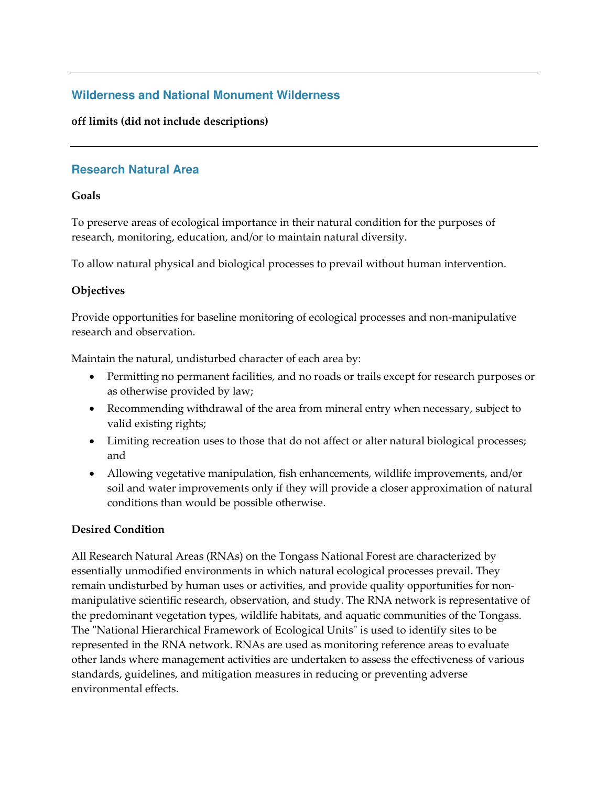# **Wilderness and National Monument Wilderness**

#### **off limits (did not include descriptions)**

## **Research Natural Area**

#### **Goals**

To preserve areas of ecological importance in their natural condition for the purposes of research, monitoring, education, and/or to maintain natural diversity.

To allow natural physical and biological processes to prevail without human intervention.

#### **Objectives**

Provide opportunities for baseline monitoring of ecological processes and non-manipulative research and observation.

Maintain the natural, undisturbed character of each area by:

- Permitting no permanent facilities, and no roads or trails except for research purposes or as otherwise provided by law;
- Recommending withdrawal of the area from mineral entry when necessary, subject to valid existing rights;
- Limiting recreation uses to those that do not affect or alter natural biological processes; and
- Allowing vegetative manipulation, fish enhancements, wildlife improvements, and/or soil and water improvements only if they will provide a closer approximation of natural conditions than would be possible otherwise.

## **Desired Condition**

All Research Natural Areas (RNAs) on the Tongass National Forest are characterized by essentially unmodified environments in which natural ecological processes prevail. They remain undisturbed by human uses or activities, and provide quality opportunities for nonmanipulative scientific research, observation, and study. The RNA network is representative of the predominant vegetation types, wildlife habitats, and aquatic communities of the Tongass. The "National Hierarchical Framework of Ecological Units" is used to identify sites to be represented in the RNA network. RNAs are used as monitoring reference areas to evaluate other lands where management activities are undertaken to assess the effectiveness of various standards, guidelines, and mitigation measures in reducing or preventing adverse environmental effects.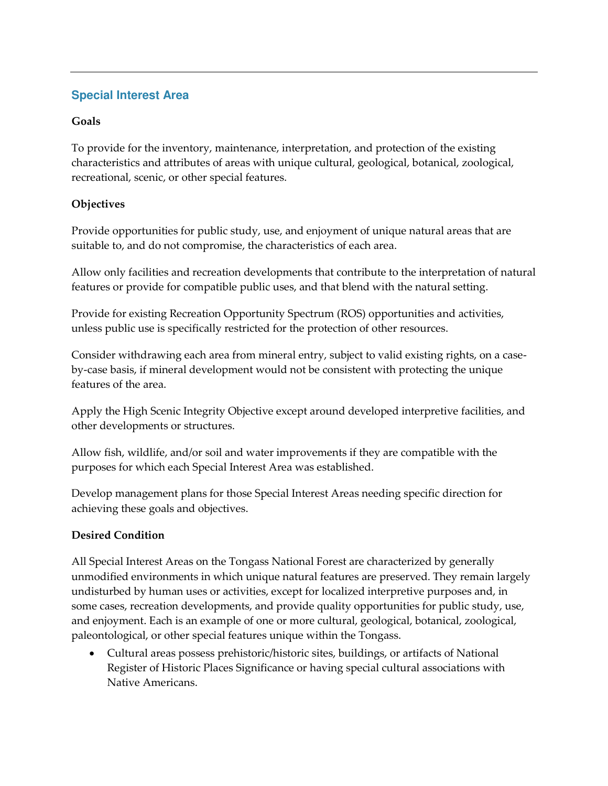# **Special Interest Area**

#### **Goals**

To provide for the inventory, maintenance, interpretation, and protection of the existing characteristics and attributes of areas with unique cultural, geological, botanical, zoological, recreational, scenic, or other special features.

#### **Objectives**

Provide opportunities for public study, use, and enjoyment of unique natural areas that are suitable to, and do not compromise, the characteristics of each area.

Allow only facilities and recreation developments that contribute to the interpretation of natural features or provide for compatible public uses, and that blend with the natural setting.

Provide for existing Recreation Opportunity Spectrum (ROS) opportunities and activities, unless public use is specifically restricted for the protection of other resources.

Consider withdrawing each area from mineral entry, subject to valid existing rights, on a caseby-case basis, if mineral development would not be consistent with protecting the unique features of the area.

Apply the High Scenic Integrity Objective except around developed interpretive facilities, and other developments or structures.

Allow fish, wildlife, and/or soil and water improvements if they are compatible with the purposes for which each Special Interest Area was established.

Develop management plans for those Special Interest Areas needing specific direction for achieving these goals and objectives.

## **Desired Condition**

All Special Interest Areas on the Tongass National Forest are characterized by generally unmodified environments in which unique natural features are preserved. They remain largely undisturbed by human uses or activities, except for localized interpretive purposes and, in some cases, recreation developments, and provide quality opportunities for public study, use, and enjoyment. Each is an example of one or more cultural, geological, botanical, zoological, paleontological, or other special features unique within the Tongass.

• Cultural areas possess prehistoric/historic sites, buildings, or artifacts of National Register of Historic Places Significance or having special cultural associations with Native Americans.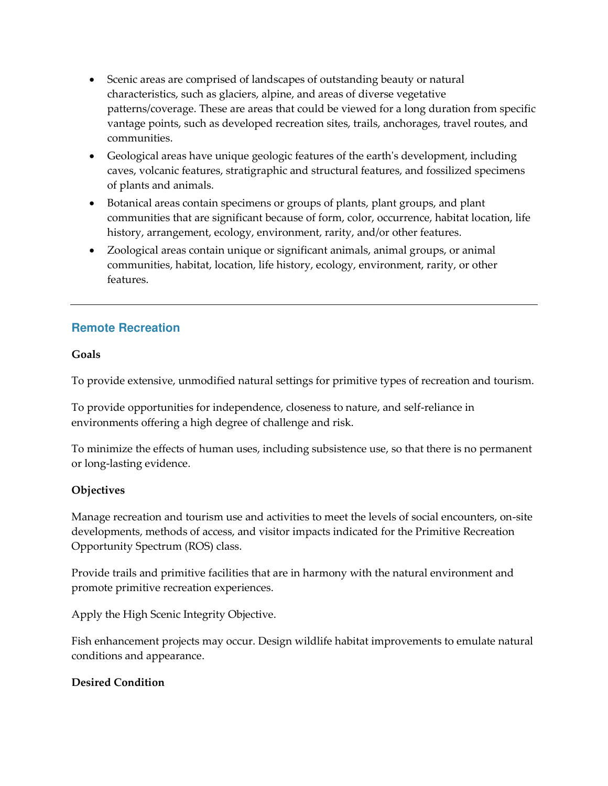- Scenic areas are comprised of landscapes of outstanding beauty or natural characteristics, such as glaciers, alpine, and areas of diverse vegetative patterns/coverage. These are areas that could be viewed for a long duration from specific vantage points, such as developed recreation sites, trails, anchorages, travel routes, and communities.
- Geological areas have unique geologic features of the earth's development, including caves, volcanic features, stratigraphic and structural features, and fossilized specimens of plants and animals.
- Botanical areas contain specimens or groups of plants, plant groups, and plant communities that are significant because of form, color, occurrence, habitat location, life history, arrangement, ecology, environment, rarity, and/or other features.
- Zoological areas contain unique or significant animals, animal groups, or animal communities, habitat, location, life history, ecology, environment, rarity, or other features.

# **Remote Recreation**

## **Goals**

To provide extensive, unmodified natural settings for primitive types of recreation and tourism.

To provide opportunities for independence, closeness to nature, and self-reliance in environments offering a high degree of challenge and risk.

To minimize the effects of human uses, including subsistence use, so that there is no permanent or long-lasting evidence.

## **Objectives**

Manage recreation and tourism use and activities to meet the levels of social encounters, on-site developments, methods of access, and visitor impacts indicated for the Primitive Recreation Opportunity Spectrum (ROS) class.

Provide trails and primitive facilities that are in harmony with the natural environment and promote primitive recreation experiences.

Apply the High Scenic Integrity Objective.

Fish enhancement projects may occur. Design wildlife habitat improvements to emulate natural conditions and appearance.

#### **Desired Condition**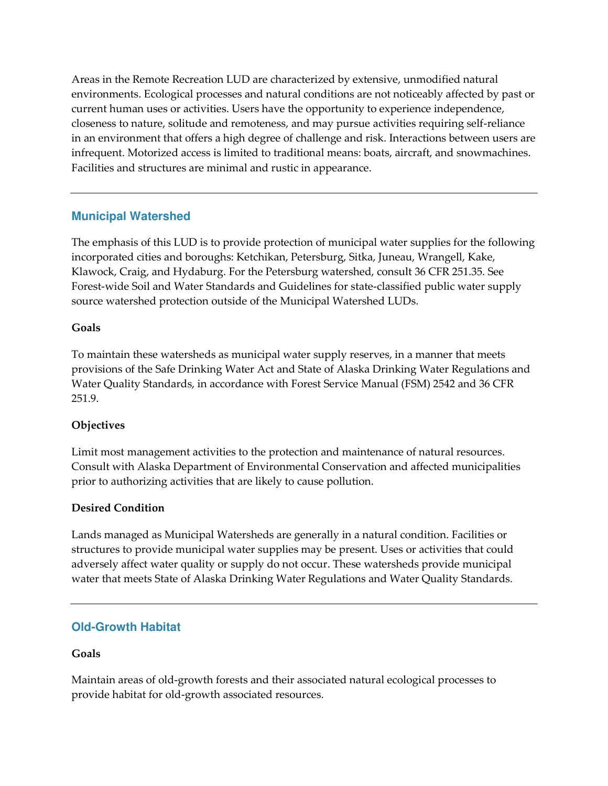Areas in the Remote Recreation LUD are characterized by extensive, unmodified natural environments. Ecological processes and natural conditions are not noticeably affected by past or current human uses or activities. Users have the opportunity to experience independence, closeness to nature, solitude and remoteness, and may pursue activities requiring self-reliance in an environment that offers a high degree of challenge and risk. Interactions between users are infrequent. Motorized access is limited to traditional means: boats, aircraft, and snowmachines. Facilities and structures are minimal and rustic in appearance.

# **Municipal Watershed**

The emphasis of this LUD is to provide protection of municipal water supplies for the following incorporated cities and boroughs: Ketchikan, Petersburg, Sitka, Juneau, Wrangell, Kake, Klawock, Craig, and Hydaburg. For the Petersburg watershed, consult 36 CFR 251.35. See Forest-wide Soil and Water Standards and Guidelines for state-classified public water supply source watershed protection outside of the Municipal Watershed LUDs.

#### **Goals**

To maintain these watersheds as municipal water supply reserves, in a manner that meets provisions of the Safe Drinking Water Act and State of Alaska Drinking Water Regulations and Water Quality Standards, in accordance with Forest Service Manual (FSM) 2542 and 36 CFR 251.9.

#### **Objectives**

Limit most management activities to the protection and maintenance of natural resources. Consult with Alaska Department of Environmental Conservation and affected municipalities prior to authorizing activities that are likely to cause pollution.

#### **Desired Condition**

Lands managed as Municipal Watersheds are generally in a natural condition. Facilities or structures to provide municipal water supplies may be present. Uses or activities that could adversely affect water quality or supply do not occur. These watersheds provide municipal water that meets State of Alaska Drinking Water Regulations and Water Quality Standards.

## **Old-Growth Habitat**

## **Goals**

Maintain areas of old-growth forests and their associated natural ecological processes to provide habitat for old-growth associated resources.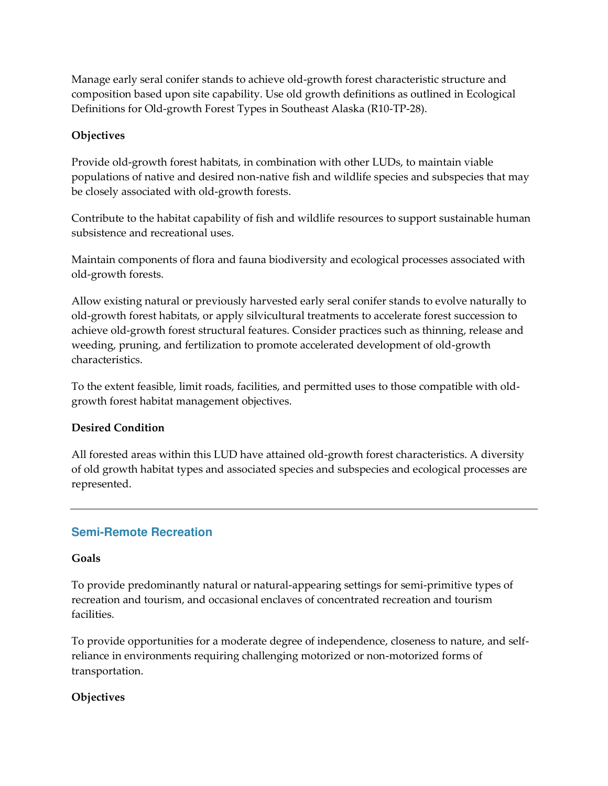Manage early seral conifer stands to achieve old-growth forest characteristic structure and composition based upon site capability. Use old growth definitions as outlined in Ecological Definitions for Old-growth Forest Types in Southeast Alaska (R10-TP-28).

#### **Objectives**

Provide old-growth forest habitats, in combination with other LUDs, to maintain viable populations of native and desired non-native fish and wildlife species and subspecies that may be closely associated with old-growth forests.

Contribute to the habitat capability of fish and wildlife resources to support sustainable human subsistence and recreational uses.

Maintain components of flora and fauna biodiversity and ecological processes associated with old-growth forests.

Allow existing natural or previously harvested early seral conifer stands to evolve naturally to old-growth forest habitats, or apply silvicultural treatments to accelerate forest succession to achieve old-growth forest structural features. Consider practices such as thinning, release and weeding, pruning, and fertilization to promote accelerated development of old-growth characteristics.

To the extent feasible, limit roads, facilities, and permitted uses to those compatible with oldgrowth forest habitat management objectives.

## **Desired Condition**

All forested areas within this LUD have attained old-growth forest characteristics. A diversity of old growth habitat types and associated species and subspecies and ecological processes are represented.

## **Semi-Remote Recreation**

#### **Goals**

To provide predominantly natural or natural-appearing settings for semi-primitive types of recreation and tourism, and occasional enclaves of concentrated recreation and tourism facilities.

To provide opportunities for a moderate degree of independence, closeness to nature, and selfreliance in environments requiring challenging motorized or non-motorized forms of transportation.

## **Objectives**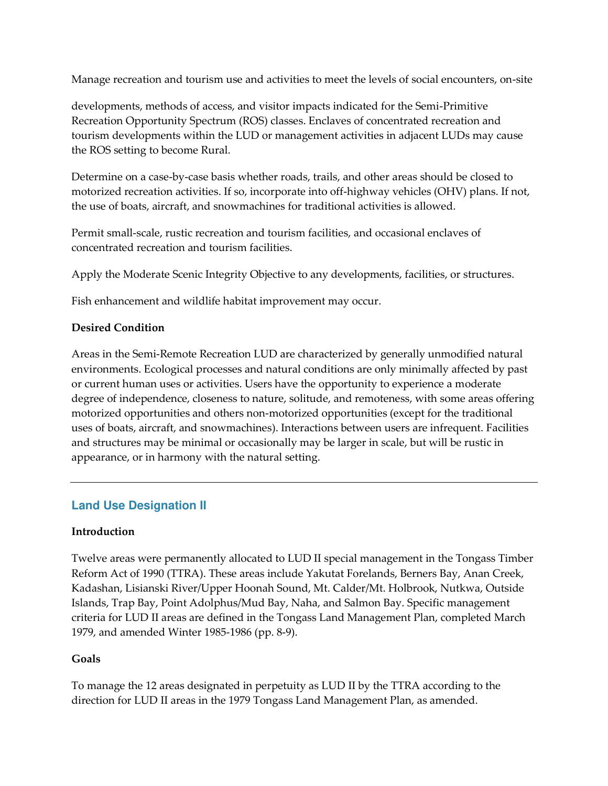Manage recreation and tourism use and activities to meet the levels of social encounters, on-site

developments, methods of access, and visitor impacts indicated for the Semi-Primitive Recreation Opportunity Spectrum (ROS) classes. Enclaves of concentrated recreation and tourism developments within the LUD or management activities in adjacent LUDs may cause the ROS setting to become Rural.

Determine on a case-by-case basis whether roads, trails, and other areas should be closed to motorized recreation activities. If so, incorporate into off-highway vehicles (OHV) plans. If not, the use of boats, aircraft, and snowmachines for traditional activities is allowed.

Permit small-scale, rustic recreation and tourism facilities, and occasional enclaves of concentrated recreation and tourism facilities.

Apply the Moderate Scenic Integrity Objective to any developments, facilities, or structures.

Fish enhancement and wildlife habitat improvement may occur.

## **Desired Condition**

Areas in the Semi-Remote Recreation LUD are characterized by generally unmodified natural environments. Ecological processes and natural conditions are only minimally affected by past or current human uses or activities. Users have the opportunity to experience a moderate degree of independence, closeness to nature, solitude, and remoteness, with some areas offering motorized opportunities and others non-motorized opportunities (except for the traditional uses of boats, aircraft, and snowmachines). Interactions between users are infrequent. Facilities and structures may be minimal or occasionally may be larger in scale, but will be rustic in appearance, or in harmony with the natural setting.

## **Land Use Designation II**

#### **Introduction**

Twelve areas were permanently allocated to LUD II special management in the Tongass Timber Reform Act of 1990 (TTRA). These areas include Yakutat Forelands, Berners Bay, Anan Creek, Kadashan, Lisianski River/Upper Hoonah Sound, Mt. Calder/Mt. Holbrook, Nutkwa, Outside Islands, Trap Bay, Point Adolphus/Mud Bay, Naha, and Salmon Bay. Specific management criteria for LUD II areas are defined in the Tongass Land Management Plan, completed March 1979, and amended Winter 1985-1986 (pp. 8-9).

#### **Goals**

To manage the 12 areas designated in perpetuity as LUD II by the TTRA according to the direction for LUD II areas in the 1979 Tongass Land Management Plan, as amended.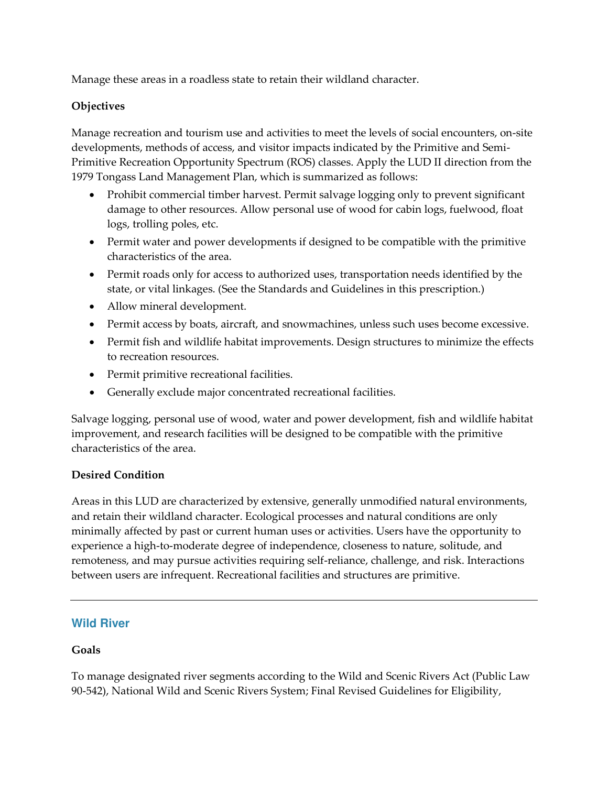Manage these areas in a roadless state to retain their wildland character.

## **Objectives**

Manage recreation and tourism use and activities to meet the levels of social encounters, on-site developments, methods of access, and visitor impacts indicated by the Primitive and Semi-Primitive Recreation Opportunity Spectrum (ROS) classes. Apply the LUD II direction from the 1979 Tongass Land Management Plan, which is summarized as follows:

- Prohibit commercial timber harvest. Permit salvage logging only to prevent significant damage to other resources. Allow personal use of wood for cabin logs, fuelwood, float logs, trolling poles, etc.
- Permit water and power developments if designed to be compatible with the primitive characteristics of the area.
- Permit roads only for access to authorized uses, transportation needs identified by the state, or vital linkages. (See the Standards and Guidelines in this prescription.)
- Allow mineral development.
- Permit access by boats, aircraft, and snowmachines, unless such uses become excessive.
- Permit fish and wildlife habitat improvements. Design structures to minimize the effects to recreation resources.
- Permit primitive recreational facilities.
- Generally exclude major concentrated recreational facilities.

Salvage logging, personal use of wood, water and power development, fish and wildlife habitat improvement, and research facilities will be designed to be compatible with the primitive characteristics of the area.

## **Desired Condition**

Areas in this LUD are characterized by extensive, generally unmodified natural environments, and retain their wildland character. Ecological processes and natural conditions are only minimally affected by past or current human uses or activities. Users have the opportunity to experience a high-to-moderate degree of independence, closeness to nature, solitude, and remoteness, and may pursue activities requiring self-reliance, challenge, and risk. Interactions between users are infrequent. Recreational facilities and structures are primitive.

## **Wild River**

## **Goals**

To manage designated river segments according to the Wild and Scenic Rivers Act (Public Law 90-542), National Wild and Scenic Rivers System; Final Revised Guidelines for Eligibility,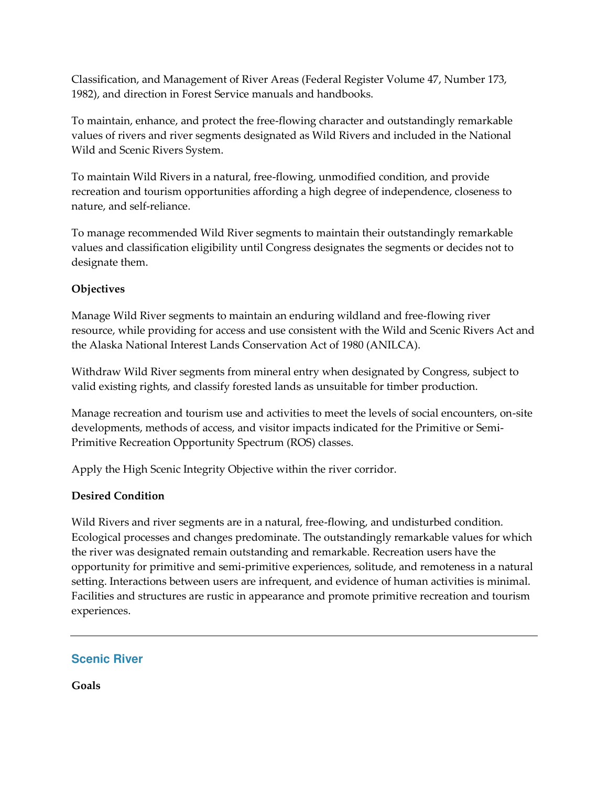Classification, and Management of River Areas (Federal Register Volume 47, Number 173, 1982), and direction in Forest Service manuals and handbooks.

To maintain, enhance, and protect the free-flowing character and outstandingly remarkable values of rivers and river segments designated as Wild Rivers and included in the National Wild and Scenic Rivers System.

To maintain Wild Rivers in a natural, free-flowing, unmodified condition, and provide recreation and tourism opportunities affording a high degree of independence, closeness to nature, and self-reliance.

To manage recommended Wild River segments to maintain their outstandingly remarkable values and classification eligibility until Congress designates the segments or decides not to designate them.

## **Objectives**

Manage Wild River segments to maintain an enduring wildland and free-flowing river resource, while providing for access and use consistent with the Wild and Scenic Rivers Act and the Alaska National Interest Lands Conservation Act of 1980 (ANILCA).

Withdraw Wild River segments from mineral entry when designated by Congress, subject to valid existing rights, and classify forested lands as unsuitable for timber production.

Manage recreation and tourism use and activities to meet the levels of social encounters, on-site developments, methods of access, and visitor impacts indicated for the Primitive or Semi-Primitive Recreation Opportunity Spectrum (ROS) classes.

Apply the High Scenic Integrity Objective within the river corridor.

## **Desired Condition**

Wild Rivers and river segments are in a natural, free-flowing, and undisturbed condition. Ecological processes and changes predominate. The outstandingly remarkable values for which the river was designated remain outstanding and remarkable. Recreation users have the opportunity for primitive and semi-primitive experiences, solitude, and remoteness in a natural setting. Interactions between users are infrequent, and evidence of human activities is minimal. Facilities and structures are rustic in appearance and promote primitive recreation and tourism experiences.

## **Scenic River**

**Goals**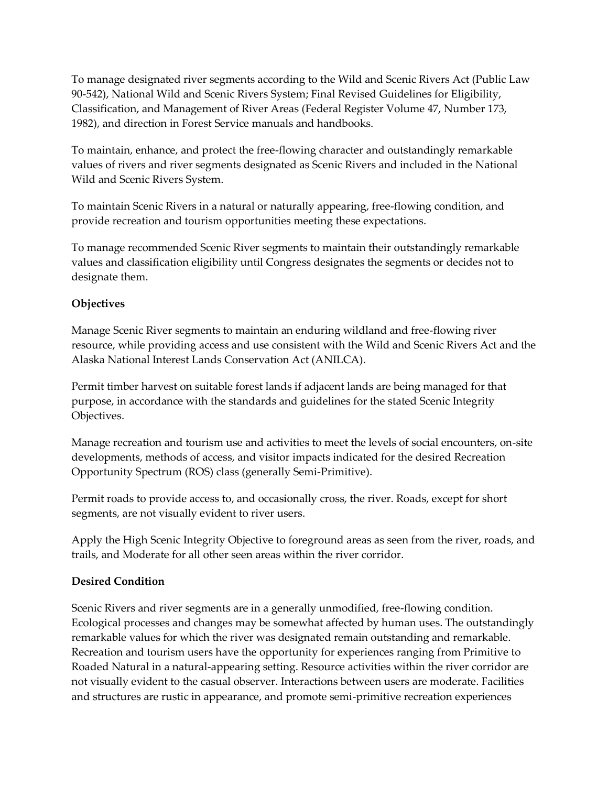To manage designated river segments according to the Wild and Scenic Rivers Act (Public Law 90-542), National Wild and Scenic Rivers System; Final Revised Guidelines for Eligibility, Classification, and Management of River Areas (Federal Register Volume 47, Number 173, 1982), and direction in Forest Service manuals and handbooks.

To maintain, enhance, and protect the free-flowing character and outstandingly remarkable values of rivers and river segments designated as Scenic Rivers and included in the National Wild and Scenic Rivers System.

To maintain Scenic Rivers in a natural or naturally appearing, free-flowing condition, and provide recreation and tourism opportunities meeting these expectations.

To manage recommended Scenic River segments to maintain their outstandingly remarkable values and classification eligibility until Congress designates the segments or decides not to designate them.

## **Objectives**

Manage Scenic River segments to maintain an enduring wildland and free-flowing river resource, while providing access and use consistent with the Wild and Scenic Rivers Act and the Alaska National Interest Lands Conservation Act (ANILCA).

Permit timber harvest on suitable forest lands if adjacent lands are being managed for that purpose, in accordance with the standards and guidelines for the stated Scenic Integrity Objectives.

Manage recreation and tourism use and activities to meet the levels of social encounters, on-site developments, methods of access, and visitor impacts indicated for the desired Recreation Opportunity Spectrum (ROS) class (generally Semi-Primitive).

Permit roads to provide access to, and occasionally cross, the river. Roads, except for short segments, are not visually evident to river users.

Apply the High Scenic Integrity Objective to foreground areas as seen from the river, roads, and trails, and Moderate for all other seen areas within the river corridor.

## **Desired Condition**

Scenic Rivers and river segments are in a generally unmodified, free-flowing condition. Ecological processes and changes may be somewhat affected by human uses. The outstandingly remarkable values for which the river was designated remain outstanding and remarkable. Recreation and tourism users have the opportunity for experiences ranging from Primitive to Roaded Natural in a natural-appearing setting. Resource activities within the river corridor are not visually evident to the casual observer. Interactions between users are moderate. Facilities and structures are rustic in appearance, and promote semi-primitive recreation experiences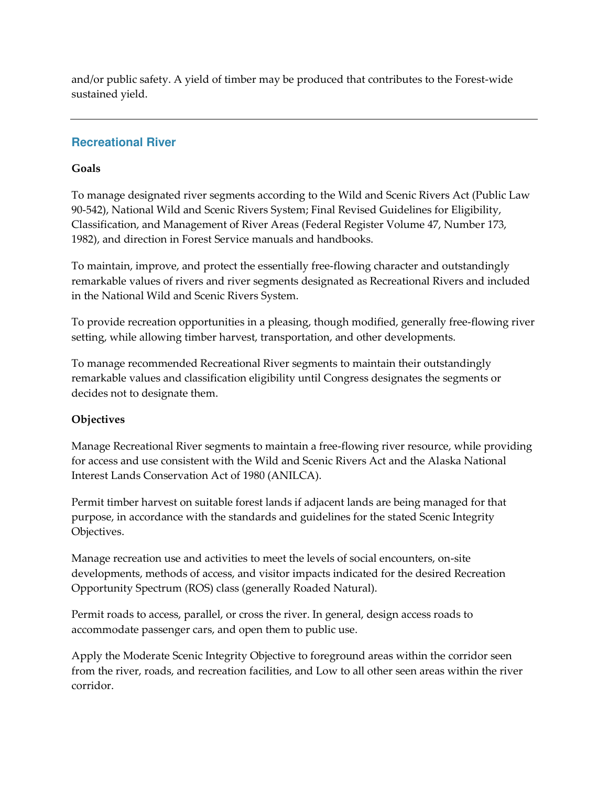and/or public safety. A yield of timber may be produced that contributes to the Forest-wide sustained yield.

## **Recreational River**

#### **Goals**

To manage designated river segments according to the Wild and Scenic Rivers Act (Public Law 90-542), National Wild and Scenic Rivers System; Final Revised Guidelines for Eligibility, Classification, and Management of River Areas (Federal Register Volume 47, Number 173, 1982), and direction in Forest Service manuals and handbooks.

To maintain, improve, and protect the essentially free-flowing character and outstandingly remarkable values of rivers and river segments designated as Recreational Rivers and included in the National Wild and Scenic Rivers System.

To provide recreation opportunities in a pleasing, though modified, generally free-flowing river setting, while allowing timber harvest, transportation, and other developments.

To manage recommended Recreational River segments to maintain their outstandingly remarkable values and classification eligibility until Congress designates the segments or decides not to designate them.

## **Objectives**

Manage Recreational River segments to maintain a free-flowing river resource, while providing for access and use consistent with the Wild and Scenic Rivers Act and the Alaska National Interest Lands Conservation Act of 1980 (ANILCA).

Permit timber harvest on suitable forest lands if adjacent lands are being managed for that purpose, in accordance with the standards and guidelines for the stated Scenic Integrity Objectives.

Manage recreation use and activities to meet the levels of social encounters, on-site developments, methods of access, and visitor impacts indicated for the desired Recreation Opportunity Spectrum (ROS) class (generally Roaded Natural).

Permit roads to access, parallel, or cross the river. In general, design access roads to accommodate passenger cars, and open them to public use.

Apply the Moderate Scenic Integrity Objective to foreground areas within the corridor seen from the river, roads, and recreation facilities, and Low to all other seen areas within the river corridor.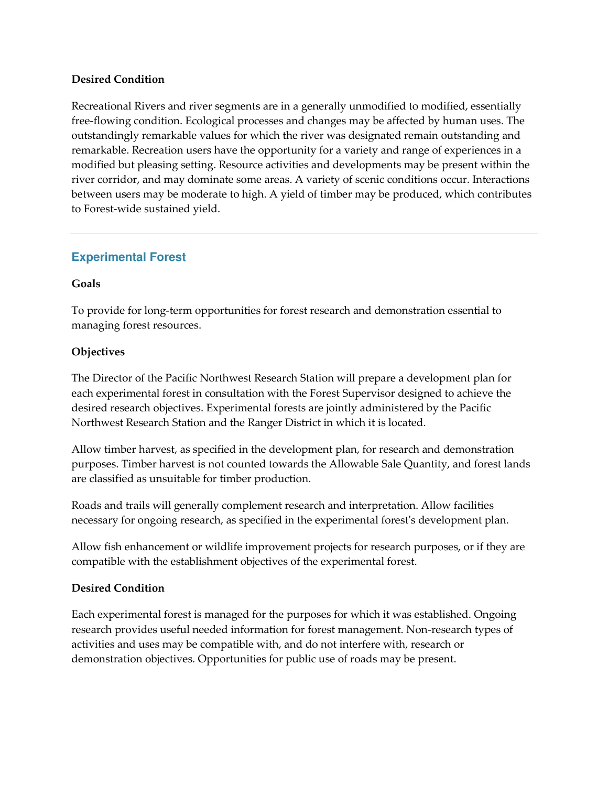#### **Desired Condition**

Recreational Rivers and river segments are in a generally unmodified to modified, essentially free-flowing condition. Ecological processes and changes may be affected by human uses. The outstandingly remarkable values for which the river was designated remain outstanding and remarkable. Recreation users have the opportunity for a variety and range of experiences in a modified but pleasing setting. Resource activities and developments may be present within the river corridor, and may dominate some areas. A variety of scenic conditions occur. Interactions between users may be moderate to high. A yield of timber may be produced, which contributes to Forest-wide sustained yield.

## **Experimental Forest**

#### **Goals**

To provide for long-term opportunities for forest research and demonstration essential to managing forest resources.

#### **Objectives**

The Director of the Pacific Northwest Research Station will prepare a development plan for each experimental forest in consultation with the Forest Supervisor designed to achieve the desired research objectives. Experimental forests are jointly administered by the Pacific Northwest Research Station and the Ranger District in which it is located.

Allow timber harvest, as specified in the development plan, for research and demonstration purposes. Timber harvest is not counted towards the Allowable Sale Quantity, and forest lands are classified as unsuitable for timber production.

Roads and trails will generally complement research and interpretation. Allow facilities necessary for ongoing research, as specified in the experimental forest's development plan.

Allow fish enhancement or wildlife improvement projects for research purposes, or if they are compatible with the establishment objectives of the experimental forest.

#### **Desired Condition**

Each experimental forest is managed for the purposes for which it was established. Ongoing research provides useful needed information for forest management. Non-research types of activities and uses may be compatible with, and do not interfere with, research or demonstration objectives. Opportunities for public use of roads may be present.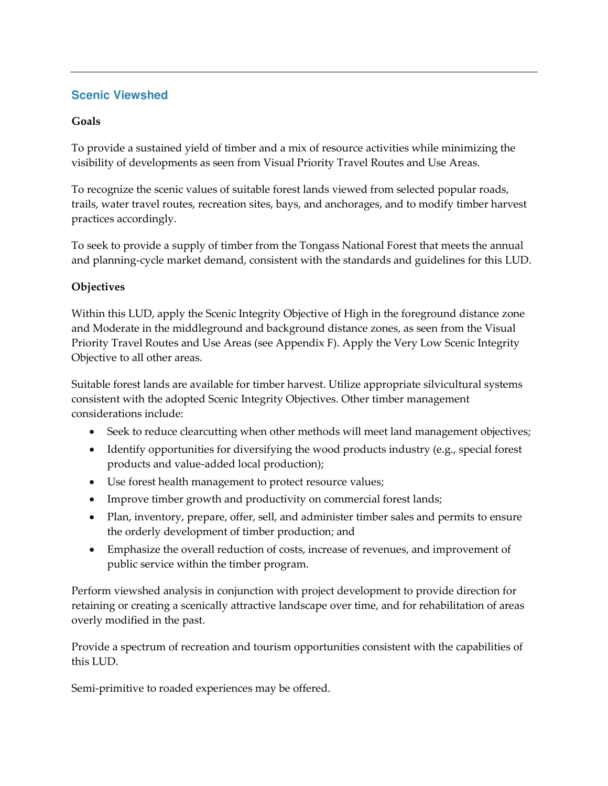# **Scenic Viewshed**

## **Goals**

To provide a sustained yield of timber and a mix of resource activities while minimizing the visibility of developments as seen from Visual Priority Travel Routes and Use Areas.

To recognize the scenic values of suitable forest lands viewed from selected popular roads, trails, water travel routes, recreation sites, bays, and anchorages, and to modify timber harvest practices accordingly.

To seek to provide a supply of timber from the Tongass National Forest that meets the annual and planning-cycle market demand, consistent with the standards and guidelines for this LUD.

## **Objectives**

Within this LUD, apply the Scenic Integrity Objective of High in the foreground distance zone and Moderate in the middleground and background distance zones, as seen from the Visual Priority Travel Routes and Use Areas (see Appendix F). Apply the Very Low Scenic Integrity Objective to all other areas.

Suitable forest lands are available for timber harvest. Utilize appropriate silvicultural systems consistent with the adopted Scenic Integrity Objectives. Other timber management considerations include:

- Seek to reduce clearcutting when other methods will meet land management objectives;
- Identify opportunities for diversifying the wood products industry (e.g., special forest products and value-added local production);
- Use forest health management to protect resource values;
- Improve timber growth and productivity on commercial forest lands;
- Plan, inventory, prepare, offer, sell, and administer timber sales and permits to ensure the orderly development of timber production; and
- Emphasize the overall reduction of costs, increase of revenues, and improvement of public service within the timber program.

Perform viewshed analysis in conjunction with project development to provide direction for retaining or creating a scenically attractive landscape over time, and for rehabilitation of areas overly modified in the past.

Provide a spectrum of recreation and tourism opportunities consistent with the capabilities of this LUD.

Semi-primitive to roaded experiences may be offered.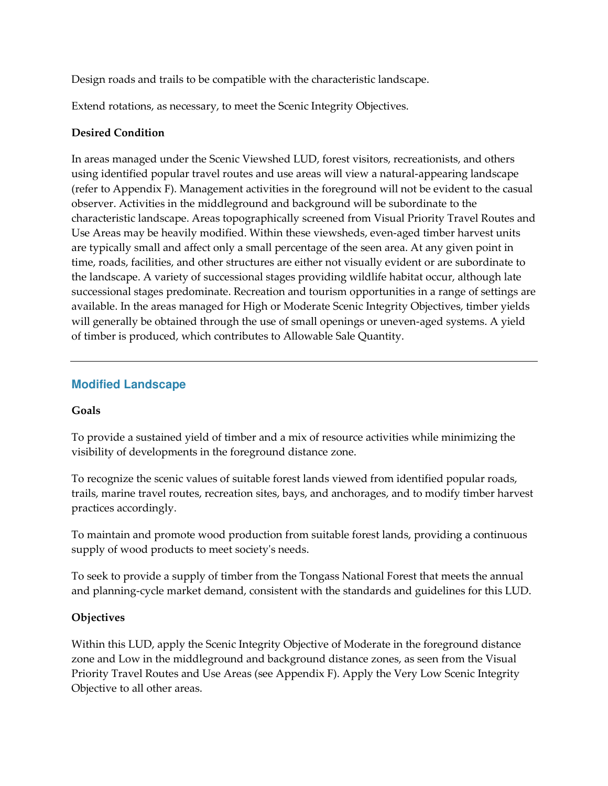Design roads and trails to be compatible with the characteristic landscape.

Extend rotations, as necessary, to meet the Scenic Integrity Objectives.

#### **Desired Condition**

In areas managed under the Scenic Viewshed LUD, forest visitors, recreationists, and others using identified popular travel routes and use areas will view a natural-appearing landscape (refer to Appendix F). Management activities in the foreground will not be evident to the casual observer. Activities in the middleground and background will be subordinate to the characteristic landscape. Areas topographically screened from Visual Priority Travel Routes and Use Areas may be heavily modified. Within these viewsheds, even-aged timber harvest units are typically small and affect only a small percentage of the seen area. At any given point in time, roads, facilities, and other structures are either not visually evident or are subordinate to the landscape. A variety of successional stages providing wildlife habitat occur, although late successional stages predominate. Recreation and tourism opportunities in a range of settings are available. In the areas managed for High or Moderate Scenic Integrity Objectives, timber yields will generally be obtained through the use of small openings or uneven-aged systems. A yield of timber is produced, which contributes to Allowable Sale Quantity.

## **Modified Landscape**

#### **Goals**

To provide a sustained yield of timber and a mix of resource activities while minimizing the visibility of developments in the foreground distance zone.

To recognize the scenic values of suitable forest lands viewed from identified popular roads, trails, marine travel routes, recreation sites, bays, and anchorages, and to modify timber harvest practices accordingly.

To maintain and promote wood production from suitable forest lands, providing a continuous supply of wood products to meet society's needs.

To seek to provide a supply of timber from the Tongass National Forest that meets the annual and planning-cycle market demand, consistent with the standards and guidelines for this LUD.

## **Objectives**

Within this LUD, apply the Scenic Integrity Objective of Moderate in the foreground distance zone and Low in the middleground and background distance zones, as seen from the Visual Priority Travel Routes and Use Areas (see Appendix F). Apply the Very Low Scenic Integrity Objective to all other areas.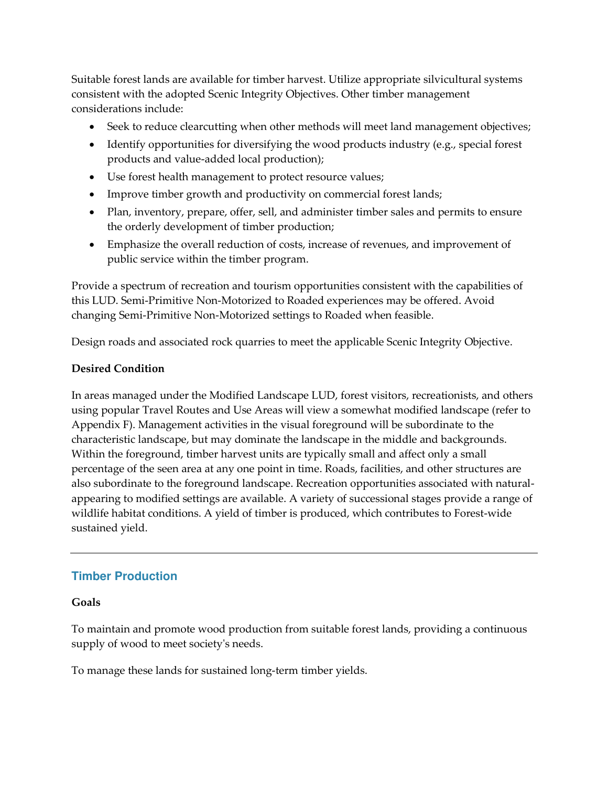Suitable forest lands are available for timber harvest. Utilize appropriate silvicultural systems consistent with the adopted Scenic Integrity Objectives. Other timber management considerations include:

- Seek to reduce clearcutting when other methods will meet land management objectives;
- Identify opportunities for diversifying the wood products industry (e.g., special forest products and value-added local production);
- Use forest health management to protect resource values;
- Improve timber growth and productivity on commercial forest lands;
- Plan, inventory, prepare, offer, sell, and administer timber sales and permits to ensure the orderly development of timber production;
- Emphasize the overall reduction of costs, increase of revenues, and improvement of public service within the timber program.

Provide a spectrum of recreation and tourism opportunities consistent with the capabilities of this LUD. Semi-Primitive Non-Motorized to Roaded experiences may be offered. Avoid changing Semi-Primitive Non-Motorized settings to Roaded when feasible.

Design roads and associated rock quarries to meet the applicable Scenic Integrity Objective.

#### **Desired Condition**

In areas managed under the Modified Landscape LUD, forest visitors, recreationists, and others using popular Travel Routes and Use Areas will view a somewhat modified landscape (refer to Appendix F). Management activities in the visual foreground will be subordinate to the characteristic landscape, but may dominate the landscape in the middle and backgrounds. Within the foreground, timber harvest units are typically small and affect only a small percentage of the seen area at any one point in time. Roads, facilities, and other structures are also subordinate to the foreground landscape. Recreation opportunities associated with naturalappearing to modified settings are available. A variety of successional stages provide a range of wildlife habitat conditions. A yield of timber is produced, which contributes to Forest-wide sustained yield.

# **Timber Production**

#### **Goals**

To maintain and promote wood production from suitable forest lands, providing a continuous supply of wood to meet society's needs.

To manage these lands for sustained long-term timber yields.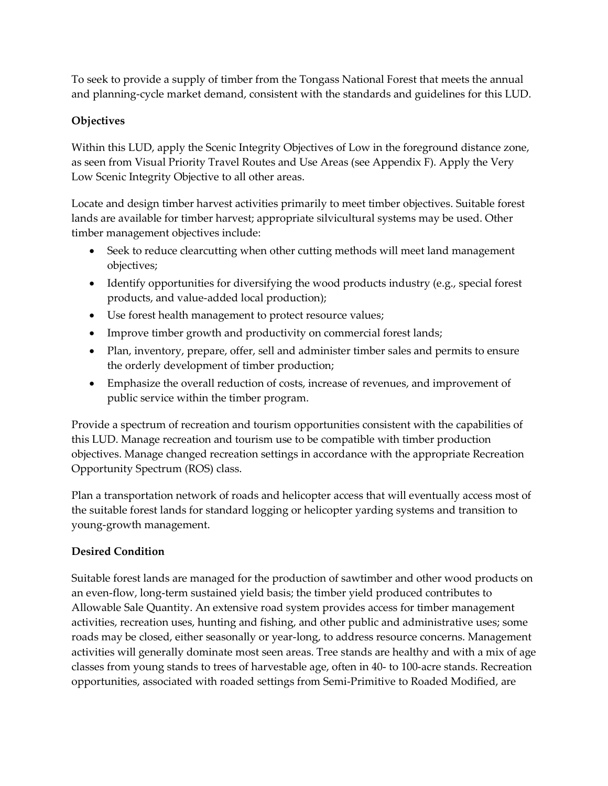To seek to provide a supply of timber from the Tongass National Forest that meets the annual and planning-cycle market demand, consistent with the standards and guidelines for this LUD.

## **Objectives**

Within this LUD, apply the Scenic Integrity Objectives of Low in the foreground distance zone, as seen from Visual Priority Travel Routes and Use Areas (see Appendix F). Apply the Very Low Scenic Integrity Objective to all other areas.

Locate and design timber harvest activities primarily to meet timber objectives. Suitable forest lands are available for timber harvest; appropriate silvicultural systems may be used. Other timber management objectives include:

- Seek to reduce clearcutting when other cutting methods will meet land management objectives;
- Identify opportunities for diversifying the wood products industry (e.g., special forest products, and value-added local production);
- Use forest health management to protect resource values;
- Improve timber growth and productivity on commercial forest lands;
- Plan, inventory, prepare, offer, sell and administer timber sales and permits to ensure the orderly development of timber production;
- Emphasize the overall reduction of costs, increase of revenues, and improvement of public service within the timber program.

Provide a spectrum of recreation and tourism opportunities consistent with the capabilities of this LUD. Manage recreation and tourism use to be compatible with timber production objectives. Manage changed recreation settings in accordance with the appropriate Recreation Opportunity Spectrum (ROS) class.

Plan a transportation network of roads and helicopter access that will eventually access most of the suitable forest lands for standard logging or helicopter yarding systems and transition to young-growth management.

## **Desired Condition**

Suitable forest lands are managed for the production of sawtimber and other wood products on an even-flow, long-term sustained yield basis; the timber yield produced contributes to Allowable Sale Quantity. An extensive road system provides access for timber management activities, recreation uses, hunting and fishing, and other public and administrative uses; some roads may be closed, either seasonally or year-long, to address resource concerns. Management activities will generally dominate most seen areas. Tree stands are healthy and with a mix of age classes from young stands to trees of harvestable age, often in 40- to 100-acre stands. Recreation opportunities, associated with roaded settings from Semi-Primitive to Roaded Modified, are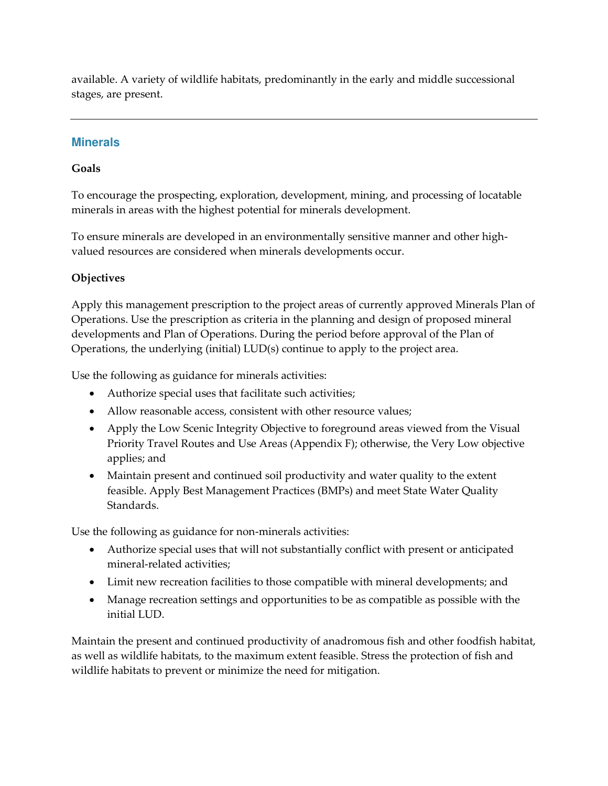available. A variety of wildlife habitats, predominantly in the early and middle successional stages, are present.

## **Minerals**

#### **Goals**

To encourage the prospecting, exploration, development, mining, and processing of locatable minerals in areas with the highest potential for minerals development.

To ensure minerals are developed in an environmentally sensitive manner and other highvalued resources are considered when minerals developments occur.

## **Objectives**

Apply this management prescription to the project areas of currently approved Minerals Plan of Operations. Use the prescription as criteria in the planning and design of proposed mineral developments and Plan of Operations. During the period before approval of the Plan of Operations, the underlying (initial) LUD(s) continue to apply to the project area.

Use the following as guidance for minerals activities:

- Authorize special uses that facilitate such activities;
- Allow reasonable access, consistent with other resource values;
- Apply the Low Scenic Integrity Objective to foreground areas viewed from the Visual Priority Travel Routes and Use Areas (Appendix F); otherwise, the Very Low objective applies; and
- Maintain present and continued soil productivity and water quality to the extent feasible. Apply Best Management Practices (BMPs) and meet State Water Quality Standards.

Use the following as guidance for non-minerals activities:

- Authorize special uses that will not substantially conflict with present or anticipated mineral-related activities;
- Limit new recreation facilities to those compatible with mineral developments; and
- Manage recreation settings and opportunities to be as compatible as possible with the initial LUD.

Maintain the present and continued productivity of anadromous fish and other foodfish habitat, as well as wildlife habitats, to the maximum extent feasible. Stress the protection of fish and wildlife habitats to prevent or minimize the need for mitigation.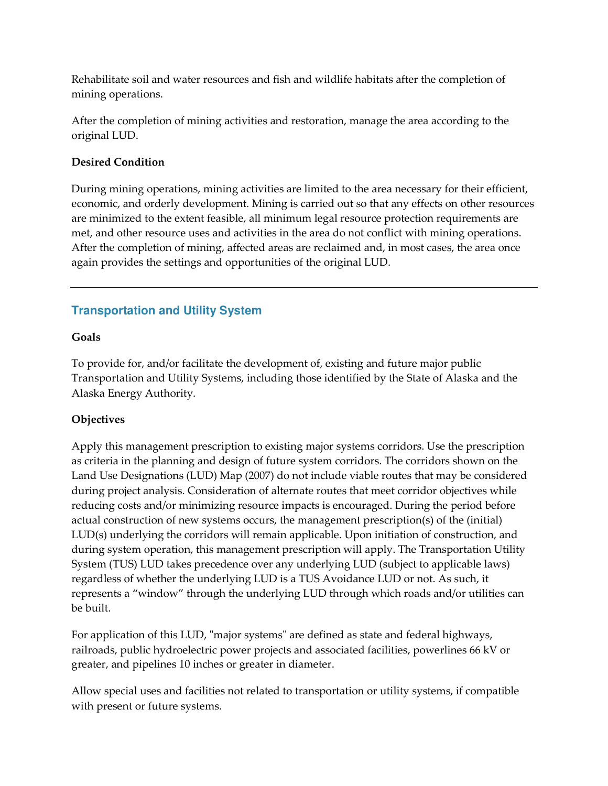Rehabilitate soil and water resources and fish and wildlife habitats after the completion of mining operations.

After the completion of mining activities and restoration, manage the area according to the original LUD.

#### **Desired Condition**

During mining operations, mining activities are limited to the area necessary for their efficient, economic, and orderly development. Mining is carried out so that any effects on other resources are minimized to the extent feasible, all minimum legal resource protection requirements are met, and other resource uses and activities in the area do not conflict with mining operations. After the completion of mining, affected areas are reclaimed and, in most cases, the area once again provides the settings and opportunities of the original LUD.

#### **Transportation and Utility System**

#### **Goals**

To provide for, and/or facilitate the development of, existing and future major public Transportation and Utility Systems, including those identified by the State of Alaska and the Alaska Energy Authority.

#### **Objectives**

Apply this management prescription to existing major systems corridors. Use the prescription as criteria in the planning and design of future system corridors. The corridors shown on the Land Use Designations (LUD) Map (2007) do not include viable routes that may be considered during project analysis. Consideration of alternate routes that meet corridor objectives while reducing costs and/or minimizing resource impacts is encouraged. During the period before actual construction of new systems occurs, the management prescription(s) of the (initial) LUD(s) underlying the corridors will remain applicable. Upon initiation of construction, and during system operation, this management prescription will apply. The Transportation Utility System (TUS) LUD takes precedence over any underlying LUD (subject to applicable laws) regardless of whether the underlying LUD is a TUS Avoidance LUD or not. As such, it represents a "window" through the underlying LUD through which roads and/or utilities can be built.

For application of this LUD, "major systems" are defined as state and federal highways, railroads, public hydroelectric power projects and associated facilities, powerlines 66 kV or greater, and pipelines 10 inches or greater in diameter.

Allow special uses and facilities not related to transportation or utility systems, if compatible with present or future systems.